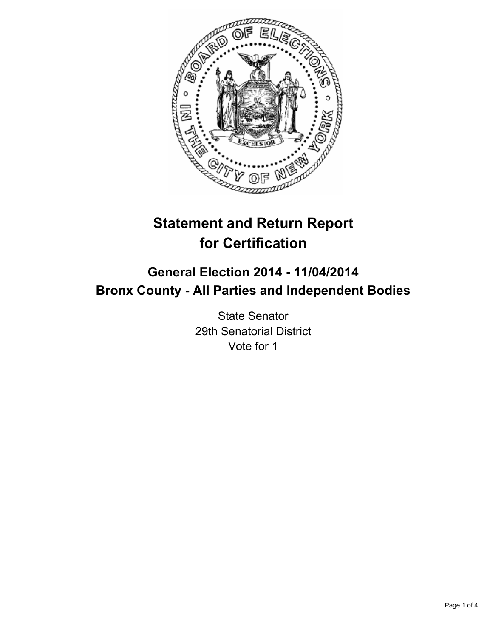

# **Statement and Return Report for Certification**

## **General Election 2014 - 11/04/2014 Bronx County - All Parties and Independent Bodies**

State Senator 29th Senatorial District Vote for 1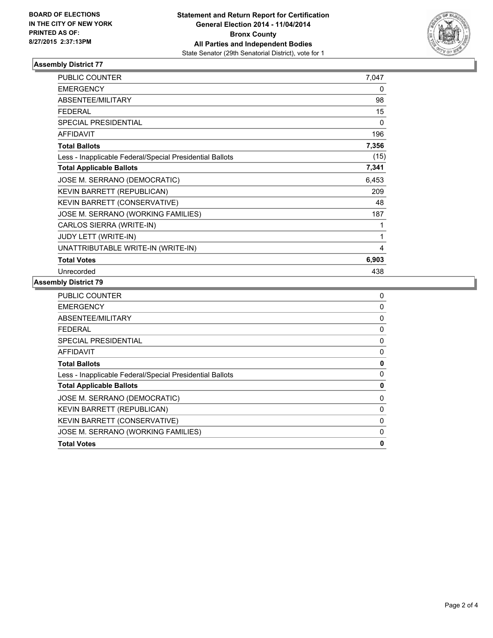

### **Assembly District 77**

| <b>PUBLIC COUNTER</b>                                    | 7,047 |
|----------------------------------------------------------|-------|
| <b>EMERGENCY</b>                                         | 0     |
| ABSENTEE/MILITARY                                        | 98    |
| <b>FEDERAL</b>                                           | 15    |
| SPECIAL PRESIDENTIAL                                     | 0     |
| <b>AFFIDAVIT</b>                                         | 196   |
| <b>Total Ballots</b>                                     | 7,356 |
| Less - Inapplicable Federal/Special Presidential Ballots | (15)  |
| <b>Total Applicable Ballots</b>                          | 7,341 |
| JOSE M. SERRANO (DEMOCRATIC)                             | 6,453 |
| KEVIN BARRETT (REPUBLICAN)                               | 209   |
| <b>KEVIN BARRETT (CONSERVATIVE)</b>                      | 48    |
| JOSE M. SERRANO (WORKING FAMILIES)                       | 187   |
| CARLOS SIERRA (WRITE-IN)                                 | 1     |
| JUDY LETT (WRITE-IN)                                     | 1     |
| UNATTRIBUTABLE WRITE-IN (WRITE-IN)                       | 4     |
| <b>Total Votes</b>                                       | 6,903 |
| Unrecorded                                               | 438   |

#### **Assembly District 79**

| <b>PUBLIC COUNTER</b>                                    | 0 |
|----------------------------------------------------------|---|
| <b>EMERGENCY</b>                                         | 0 |
| ABSENTEE/MILITARY                                        | 0 |
| FEDERAL                                                  | 0 |
| <b>SPECIAL PRESIDENTIAL</b>                              | 0 |
| AFFIDAVIT                                                | 0 |
| <b>Total Ballots</b>                                     | 0 |
| Less - Inapplicable Federal/Special Presidential Ballots | 0 |
| <b>Total Applicable Ballots</b>                          | 0 |
| JOSE M. SERRANO (DEMOCRATIC)                             | 0 |
| <b>KEVIN BARRETT (REPUBLICAN)</b>                        | 0 |
| KEVIN BARRETT (CONSERVATIVE)                             | 0 |
| JOSE M. SERRANO (WORKING FAMILIES)                       | 0 |
| <b>Total Votes</b>                                       | 0 |
|                                                          |   |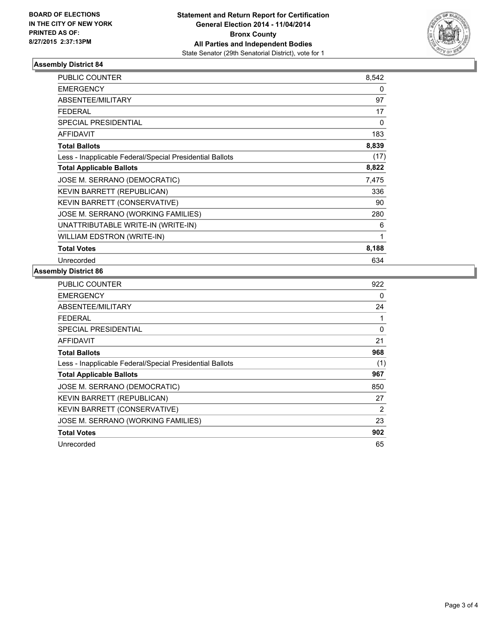

### **Assembly District 84**

| <b>PUBLIC COUNTER</b>                                    | 8,542 |
|----------------------------------------------------------|-------|
| <b>EMERGENCY</b>                                         | 0     |
| <b>ABSENTEE/MILITARY</b>                                 | 97    |
| <b>FEDERAL</b>                                           | 17    |
| <b>SPECIAL PRESIDENTIAL</b>                              | 0     |
| <b>AFFIDAVIT</b>                                         | 183   |
| <b>Total Ballots</b>                                     | 8,839 |
| Less - Inapplicable Federal/Special Presidential Ballots | (17)  |
| <b>Total Applicable Ballots</b>                          | 8,822 |
| JOSE M. SERRANO (DEMOCRATIC)                             | 7,475 |
| KEVIN BARRETT (REPUBLICAN)                               | 336   |
| KEVIN BARRETT (CONSERVATIVE)                             | 90    |
| JOSE M. SERRANO (WORKING FAMILIES)                       | 280   |
| UNATTRIBUTABLE WRITE-IN (WRITE-IN)                       | 6     |
| <b>WILLIAM EDSTRON (WRITE-IN)</b>                        | 1     |
| <b>Total Votes</b>                                       | 8,188 |
| Unrecorded                                               | 634   |

### **Assembly District 86**

| <b>PUBLIC COUNTER</b>                                    | 922 |
|----------------------------------------------------------|-----|
| EMERGENCY                                                | 0   |
| <b>ABSENTEE/MILITARY</b>                                 | 24  |
| FEDERAL                                                  |     |
| <b>SPECIAL PRESIDENTIAL</b>                              | 0   |
| <b>AFFIDAVIT</b>                                         | 21  |
| <b>Total Ballots</b>                                     | 968 |
| Less - Inapplicable Federal/Special Presidential Ballots | (1) |
| <b>Total Applicable Ballots</b>                          | 967 |
| JOSE M. SERRANO (DEMOCRATIC)                             | 850 |
| <b>KEVIN BARRETT (REPUBLICAN)</b>                        | 27  |
| KEVIN BARRETT (CONSERVATIVE)                             | 2   |
| JOSE M. SERRANO (WORKING FAMILIES)                       | 23  |
| <b>Total Votes</b>                                       | 902 |
| Unrecorded                                               | 65  |